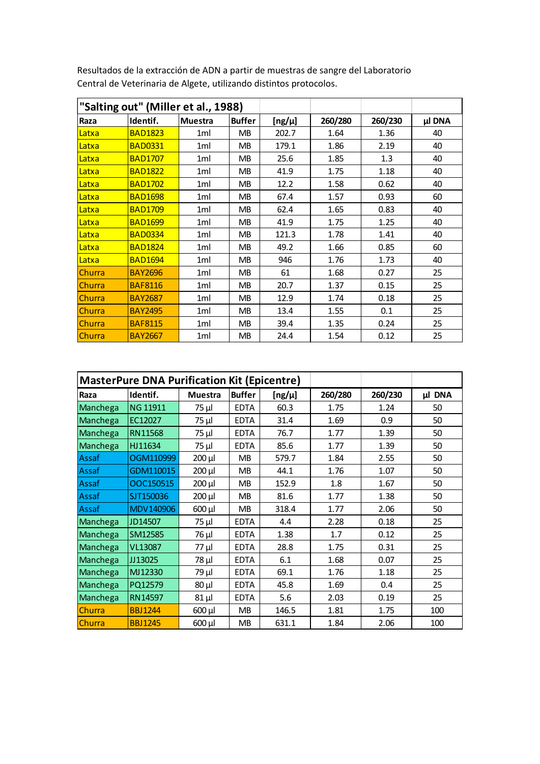| "Salting out" (Miller et al., 1988) |                |                |               |        |         |         |        |
|-------------------------------------|----------------|----------------|---------------|--------|---------|---------|--------|
| Raza                                | Identif.       | <b>Muestra</b> | <b>Buffer</b> | [ng/µ] | 260/280 | 260/230 | µl DNA |
| Latxa                               | <b>BAD1823</b> | 1ml            | <b>MB</b>     | 202.7  | 1.64    | 1.36    | 40     |
| Latxa                               | <b>BAD0331</b> | 1ml            | <b>MB</b>     | 179.1  | 1.86    | 2.19    | 40     |
| Latxa                               | <b>BAD1707</b> | 1ml            | <b>MB</b>     | 25.6   | 1.85    | 1.3     | 40     |
| Latxa                               | <b>BAD1822</b> | 1ml            | <b>MB</b>     | 41.9   | 1.75    | 1.18    | 40     |
| Latxa                               | <b>BAD1702</b> | 1ml            | <b>MB</b>     | 12.2   | 1.58    | 0.62    | 40     |
| <u>Latxa</u>                        | <b>BAD1698</b> | 1ml            | <b>MB</b>     | 67.4   | 1.57    | 0.93    | 60     |
| <u>Latxa</u>                        | <b>BAD1709</b> | 1ml            | <b>MB</b>     | 62.4   | 1.65    | 0.83    | 40     |
| Latxa                               | <b>BAD1699</b> | 1ml            | MВ            | 41.9   | 1.75    | 1.25    | 40     |
| Latxa                               | <b>BAD0334</b> | 1ml            | <b>MB</b>     | 121.3  | 1.78    | 1.41    | 40     |
| Latxa                               | <b>BAD1824</b> | 1ml            | <b>MB</b>     | 49.2   | 1.66    | 0.85    | 60     |
| Latxa                               | <b>BAD1694</b> | 1ml            | <b>MB</b>     | 946    | 1.76    | 1.73    | 40     |
| Churra                              | <b>BAY2696</b> | 1ml            | <b>MB</b>     | 61     | 1.68    | 0.27    | 25     |
| Churra                              | <b>BAF8116</b> | 1ml            | <b>MB</b>     | 20.7   | 1.37    | 0.15    | 25     |
| Churra                              | <b>BAY2687</b> | 1ml            | MB.           | 12.9   | 1.74    | 0.18    | 25     |
| Churra                              | <b>BAY2495</b> | 1ml            | <b>MB</b>     | 13.4   | 1.55    | 0.1     | 25     |
| Churra                              | <b>BAF8115</b> | 1ml            | MВ            | 39.4   | 1.35    | 0.24    | 25     |
| <b>Churra</b>                       | <b>BAY2667</b> | 1ml            | <b>MB</b>     | 24.4   | 1.54    | 0.12    | 25     |

Resultados de la extracción de ADN a partir de muestras de sangre del Laboratorio Central de Veterinaria de Algete, utilizando distintos protocolos.

|          | <b>MasterPure DNA Purification Kit (Epicentre)</b> |                |               |            |         |         |        |
|----------|----------------------------------------------------|----------------|---------------|------------|---------|---------|--------|
| Raza     | Identif.                                           | <b>Muestra</b> | <b>Buffer</b> | $[ng/\mu]$ | 260/280 | 260/230 | µl DNA |
| Manchega | <b>NG 11911</b>                                    | 75 µl          | <b>EDTA</b>   | 60.3       | 1.75    | 1.24    | 50     |
| Manchega | EC12027                                            | 75 µl          | <b>EDTA</b>   | 31.4       | 1.69    | 0.9     | 50     |
| Manchega | <b>RN11568</b>                                     | 75 µl          | <b>EDTA</b>   | 76.7       | 1.77    | 1.39    | 50     |
| Manchega | HJ11634                                            | 75 µl          | <b>EDTA</b>   | 85.6       | 1.77    | 1.39    | 50     |
| Assaf    | OGM110999                                          | 200 µl         | <b>MB</b>     | 579.7      | 1.84    | 2.55    | 50     |
| Assaf    | GDM110015                                          | 200 µl         | MB.           | 44.1       | 1.76    | 1.07    | 50     |
| Assaf    | OOC150515                                          | 200 µl         | <b>MB</b>     | 152.9      | 1.8     | 1.67    | 50     |
| Assaf    | SJT150036                                          | 200 µl         | <b>MB</b>     | 81.6       | 1.77    | 1.38    | 50     |
| Assaf    | MDV140906                                          | 600 µl         | <b>MB</b>     | 318.4      | 1.77    | 2.06    | 50     |
| Manchega | JD14507                                            | 75 µl          | <b>EDTA</b>   | 4.4        | 2.28    | 0.18    | 25     |
| Manchega | SM12585                                            | 76 µl          | <b>EDTA</b>   | 1.38       | 1.7     | 0.12    | 25     |
| Manchega | VL13087                                            | 77 µl          | <b>EDTA</b>   | 28.8       | 1.75    | 0.31    | 25     |
| Manchega | JJ13025                                            | 78 µl          | <b>EDTA</b>   | 6.1        | 1.68    | 0.07    | 25     |
| Manchega | MJ12330                                            | $79 \mu$       | <b>EDTA</b>   | 69.1       | 1.76    | 1.18    | 25     |
| Manchega | PQ12579                                            | $80 \mu$       | <b>EDTA</b>   | 45.8       | 1.69    | 0.4     | 25     |
| Manchega | RN14597                                            | $81 \mu$       | <b>EDTA</b>   | 5.6        | 2.03    | 0.19    | 25     |
| Churra   | <b>BBJ1244</b>                                     | 600 µl         | MB            | 146.5      | 1.81    | 1.75    | 100    |
| Churra   | <b>BBJ1245</b>                                     | 600 µl         | MB            | 631.1      | 1.84    | 2.06    | 100    |